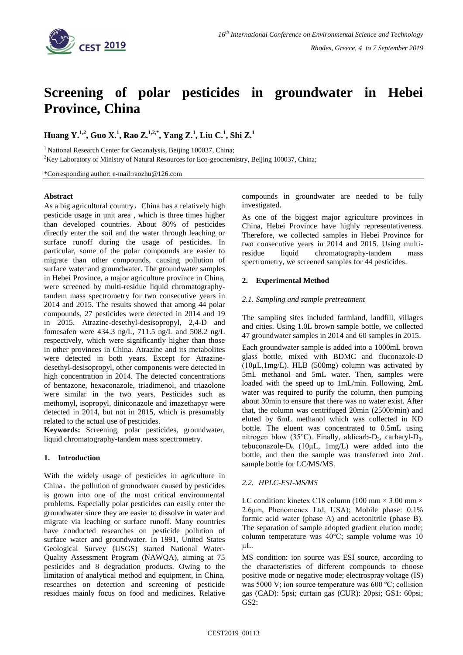

# **Screening of polar pesticides in groundwater in Hebei Province, China**

## **Huang Y. 1,2 , Guo X.<sup>1</sup> , Rao Z. 1,2,\* , Yang Z.<sup>1</sup> , Liu C.<sup>1</sup> , Shi Z. 1**

<sup>1</sup> National Research Center for Geoanalysis, Beijing 100037, China;

<sup>2</sup>Key Laboratory of Ministry of Natural Resources for Eco-geochemistry, Beijing 100037, China;

\*Corresponding author: e-mail:raozhu@126.com

#### **Abstract**

As a big agricultural country, China has a relatively high pesticide usage in unit area , which is three times higher than developed countries. About 80% of pesticides directly enter the soil and the water through leaching or surface runoff during the usage of pesticides. In particular, some of the polar compounds are easier to migrate than other compounds, causing pollution of surface water and groundwater. The groundwater samples in Hebei Province, a major agriculture province in China, were screened by multi-residue liquid chromatographytandem mass spectrometry for two consecutive years in 2014 and 2015. The results showed that among 44 polar compounds, 27 pesticides were detected in 2014 and 19 in 2015. Atrazine-desethyl-desisopropyl, 2,4-D and fomesafen were 434.3 ng/L, 711.5 ng/L and 508.2 ng/L respectively, which were significantly higher than those in other provinces in China. Atrazine and its metabolites were detected in both years. Except for Atrazinedesethyl-desisopropyl, other components were detected in high concentration in 2014. The detected concentrations of bentazone, hexaconazole, triadimenol, and triazolone were similar in the two years. Pesticides such as methomyl, isopropyl, diniconazole and imazethapyr were detected in 2014, but not in 2015, which is presumably related to the actual use of pesticides.

**Keywords:** Screening, polar pesticides, groundwater, liquid chromatography-tandem mass spectrometry.

### **1. Introduction**

With the widely usage of pesticides in agriculture in China, the pollution of groundwater caused by pesticides is grown into one of the most critical environmental problems. Especially polar pesticides can easily enter the groundwater since they are easier to dissolve in water and migrate via leaching or surface runoff. Many countries have conducted researches on pesticide pollution of surface water and groundwater. In 1991, United States Geological Survey (USGS) started National Water-Quality Assessment Program (NAWQA), aiming at 75 pesticides and 8 degradation products. Owing to the limitation of analytical method and equipment, in China, researches on detection and screening of pesticide residues mainly focus on food and medicines. Relative compounds in groundwater are needed to be fully investigated.

As one of the biggest major agriculture provinces in China, Hebei Province have highly representativeness. Therefore, we collected samples in Hebei Province for two consecutive years in 2014 and 2015. Using multiresidue liquid chromatography-tandem mass spectrometry, we screened samples for 44 pesticides.

#### **2. Experimental Method**

#### *2.1. Sampling and sample pretreatment*

The sampling sites included farmland, landfill, villages and cities. Using 1.0L brown sample bottle, we collected 47 groundwater samples in 2014 and 60 samples in 2015.

Each groundwater sample is added into a 1000mL brown glass bottle, mixed with BDMC and [fluconazole-](file:///C:/Users/å°ç³å¤´/AppData/Local/Youdao/Dict/Application/7.0.1.0214/resultui/dict/result.html?keyword=fluconazole)D  $(10\mu L, 1mg/L)$ . HLB  $(500mg)$  column was activated by 5mL [methanol](file:///C:/Users/å°ç³å¤´/AppData/Local/Youdao/Dict/Application/7.0.1.0214/resultui/dict/javascript:;) and 5mL water. Then, samples were loaded with the speed up to 1mL/min. Following, 2mL water was required to purify the column, then pumping about 30min to ensure that there was no water exist. After that, the column was centrifuged 20min (2500r/min) and eluted by 6mL methanol which was collected in KD bottle. The eluent was concentrated to 0.5mL using nitrogen blow (35°C). Finally, aldicarb- $D_3$ , carbaryl- $D_3$ , tebuconazole- $D_6$  (10µL, 1mg/L) were added into the bottle, and then the sample was transferred into 2mL sample bottle for LC/MS/MS.

#### *2.2. HPLC-ESI-MS/MS*

LC condition: kinetex C18 column (100 mm  $\times$  3.00 mm  $\times$ 2.6μm, Phenomenex Ltd, USA); Mobile phase: 0.1% formic acid water (phase A) and acetonitrile (phase B). The separation of sample adopted gradient elution mode; column temperature was 40℃; sample volume was 10 µL.

MS condition: ion source was ESI source, according to the characteristics of different compounds to choose positive mode or negative mode; electrospray voltage (IS) was 5000 V; ion source temperature was 600 ºC; collision gas (CAD): 5psi; curtain gas (CUR): 20psi; GS1: 60psi; GS2: